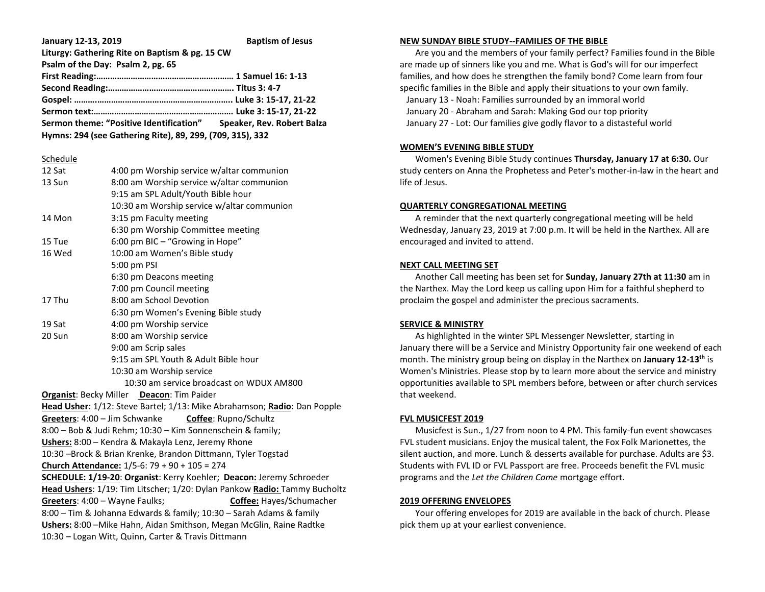| January 12-13, 2019                                                | <b>Baptism of Jesus</b> |
|--------------------------------------------------------------------|-------------------------|
| Liturgy: Gathering Rite on Baptism & pg. 15 CW                     |                         |
| Psalm of the Day: Psalm 2, pg. 65                                  |                         |
|                                                                    |                         |
|                                                                    |                         |
|                                                                    |                         |
|                                                                    |                         |
| Sermon theme: "Positive Identification" Speaker, Rev. Robert Balza |                         |
| Hymns: 294 (see Gathering Rite), 89, 299, (709, 315), 332          |                         |

#### Schedule

| 12 Sat                                                                    | 4:00 pm Worship service w/altar communion                                |  |
|---------------------------------------------------------------------------|--------------------------------------------------------------------------|--|
| 13 Sun                                                                    | 8:00 am Worship service w/altar communion                                |  |
|                                                                           | 9:15 am SPL Adult/Youth Bible hour                                       |  |
|                                                                           | 10:30 am Worship service w/altar communion                               |  |
| 14 Mon                                                                    | 3:15 pm Faculty meeting                                                  |  |
|                                                                           | 6:30 pm Worship Committee meeting                                        |  |
| 15 Tue                                                                    | 6:00 pm BIC - "Growing in Hope"                                          |  |
| 16 Wed                                                                    | 10:00 am Women's Bible study                                             |  |
|                                                                           | 5:00 pm PSI                                                              |  |
|                                                                           |                                                                          |  |
|                                                                           | 6:30 pm Deacons meeting                                                  |  |
|                                                                           | 7:00 pm Council meeting                                                  |  |
| 17 Thu                                                                    | 8:00 am School Devotion                                                  |  |
|                                                                           | 6:30 pm Women's Evening Bible study                                      |  |
| 19 Sat                                                                    | 4:00 pm Worship service                                                  |  |
| 20 Sun                                                                    | 8:00 am Worship service                                                  |  |
|                                                                           | 9:00 am Scrip sales                                                      |  |
|                                                                           | 9:15 am SPL Youth & Adult Bible hour                                     |  |
|                                                                           | 10:30 am Worship service                                                 |  |
|                                                                           | 10:30 am service broadcast on WDUX AM800                                 |  |
|                                                                           | <b>Organist: Becky Miller Deacon: Tim Paider</b>                         |  |
|                                                                           | Head Usher: 1/12: Steve Bartel; 1/13: Mike Abrahamson; Radio: Dan Popple |  |
| Greeters: 4:00 - Jim Schwanke                                             | <b>Coffee</b> : Rupno/Schultz                                            |  |
| 8:00 - Bob & Judi Rehm; 10:30 - Kim Sonnenschein & family;                |                                                                          |  |
|                                                                           | Ushers: 8:00 - Kendra & Makayla Lenz, Jeremy Rhone                       |  |
|                                                                           | 10:30 -Brock & Brian Krenke, Brandon Dittmann, Tyler Togstad             |  |
|                                                                           | Church Attendance: $1/5-6$ : 79 + 90 + 105 = 274                         |  |
|                                                                           | SCHEDULE: 1/19-20: Organist: Kerry Koehler; Deacon: Jeremy Schroeder     |  |
| Head Ushers: 1/19: Tim Litscher; 1/20: Dylan Pankow Radio: Tammy Bucholtz |                                                                          |  |
| Greeters: 4:00 - Wayne Faulks;<br>Coffee: Hayes/Schumacher                |                                                                          |  |
| 8:00 - Tim & Johanna Edwards & family; 10:30 - Sarah Adams & family       |                                                                          |  |
| Ushers: 8:00 - Mike Hahn, Aidan Smithson, Megan McGlin, Raine Radtke      |                                                                          |  |
| 10:30 - Logan Witt, Quinn, Carter & Travis Dittmann                       |                                                                          |  |
|                                                                           |                                                                          |  |

#### **NEW SUNDAY BIBLE STUDY--FAMILIES OF THE BIBLE**

 Are you and the members of your family perfect? Families found in the Bible are made up of sinners like you and me. What is God's will for our imperfect families, and how does he strengthen the family bond? Come learn from four specific families in the Bible and apply their situations to your own family. January 13 - Noah: Families surrounded by an immoral world January 20 - Abraham and Sarah: Making God our top priority January 27 - Lot: Our families give godly flavor to a distasteful world

## **WOMEN'S EVENING BIBLE STUDY**

 Women's Evening Bible Study continues **Thursday, January 17 at 6:30.** Our study centers on Anna the Prophetess and Peter's mother-in-law in the heart and life of Jesus.

# **QUARTERLY CONGREGATIONAL MEETING**

 A reminder that the next quarterly congregational meeting will be held Wednesday, January 23, 2019 at 7:00 p.m. It will be held in the Narthex. All are encouraged and invited to attend.

#### **NEXT CALL MEETING SET**

 Another Call meeting has been set for **Sunday, January 27th at 11:30** am in the Narthex. May the Lord keep us calling upon Him for a faithful shepherd to proclaim the gospel and administer the precious sacraments.

## **SERVICE & MINISTRY**

 As highlighted in the winter SPL Messenger Newsletter, starting in January there will be a Service and Ministry Opportunity fair one weekend of each month. The ministry group being on display in the Narthex on **January 12-13th** is Women's Ministries. Please stop by to learn more about the service and ministry opportunities available to SPL members before, between or after church services that weekend.

## **FVL MUSICFEST 2019**

 Musicfest is Sun., 1/27 from noon to 4 PM. This family-fun event showcases FVL student musicians. Enjoy the musical talent, the Fox Folk Marionettes, the silent auction, and more. Lunch & desserts available for purchase. Adults are \$3. Students with FVL ID or FVL Passport are free. Proceeds benefit the FVL music programs and the *Let the Children Come* mortgage effort.

#### **2019 OFFERING ENVELOPES**

 Your offering envelopes for 2019 are available in the back of church. Please pick them up at your earliest convenience.